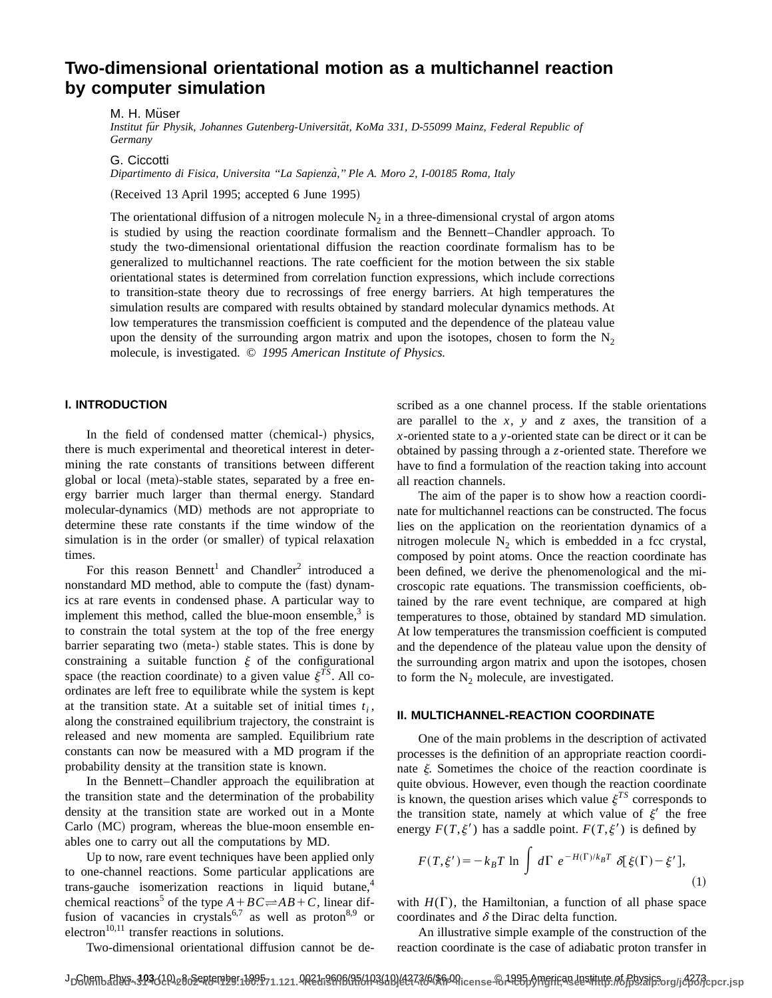# **Two-dimensional orientational motion as a multichannel reaction by computer simulation**

M. H. Müser

Institut für Physik, Johannes Gutenberg-Universität, KoMa 331, D-55099 Mainz, Federal Republic of *Germany*

G. Ciccotti

*Dipartimento di Fisica, Universita ''La Sapienza`,'' Ple A. Moro 2, I-00185 Roma, Italy*

 $(Received 13 April 1995; accepted 6 June 1995)$ 

The orientational diffusion of a nitrogen molecule  $N_2$  in a three-dimensional crystal of argon atoms is studied by using the reaction coordinate formalism and the Bennett–Chandler approach. To study the two-dimensional orientational diffusion the reaction coordinate formalism has to be generalized to multichannel reactions. The rate coefficient for the motion between the six stable orientational states is determined from correlation function expressions, which include corrections to transition-state theory due to recrossings of free energy barriers. At high temperatures the simulation results are compared with results obtained by standard molecular dynamics methods. At low temperatures the transmission coefficient is computed and the dependence of the plateau value upon the density of the surrounding argon matrix and upon the isotopes, chosen to form the  $N_2$ molecule, is investigated. © *1995 American Institute of Physics.*

### **I. INTRODUCTION**

In the field of condensed matter (chemical-) physics, there is much experimental and theoretical interest in determining the rate constants of transitions between different global or local (meta)-stable states, separated by a free energy barrier much larger than thermal energy. Standard molecular-dynamics (MD) methods are not appropriate to determine these rate constants if the time window of the simulation is in the order (or smaller) of typical relaxation times.

For this reason Bennett<sup>1</sup> and Chandler<sup>2</sup> introduced a nonstandard MD method, able to compute the (fast) dynamics at rare events in condensed phase. A particular way to implement this method, called the blue-moon ensemble, $3$  is to constrain the total system at the top of the free energy barrier separating two (meta-) stable states. This is done by constraining a suitable function  $\xi$  of the configurational space (the reaction coordinate) to a given value  $\xi^{TS}$ . All coordinates are left free to equilibrate while the system is kept at the transition state. At a suitable set of initial times  $t_i$ , along the constrained equilibrium trajectory, the constraint is released and new momenta are sampled. Equilibrium rate constants can now be measured with a MD program if the probability density at the transition state is known.

In the Bennett–Chandler approach the equilibration at the transition state and the determination of the probability density at the transition state are worked out in a Monte  $Carlo$   $(MC)$  program, whereas the blue-moon ensemble enables one to carry out all the computations by MD.

Up to now, rare event techniques have been applied only to one-channel reactions. Some particular applications are trans-gauche isomerization reactions in liquid butane, $4$ chemical reactions<sup>5</sup> of the type  $A + BC \rightleftharpoons AB + C$ , linear diffusion of vacancies in crystals<sup>6,7</sup> as well as proton<sup>8,9</sup> or electron<sup>10,11</sup> transfer reactions in solutions.

Two-dimensional orientational diffusion cannot be de-

scribed as a one channel process. If the stable orientations are parallel to the *x*, *y* and *z* axes, the transition of a *x*-oriented state to a *y*-oriented state can be direct or it can be obtained by passing through a *z*-oriented state. Therefore we have to find a formulation of the reaction taking into account all reaction channels.

The aim of the paper is to show how a reaction coordinate for multichannel reactions can be constructed. The focus lies on the application on the reorientation dynamics of a nitrogen molecule  $N_2$  which is embedded in a fcc crystal, composed by point atoms. Once the reaction coordinate has been defined, we derive the phenomenological and the microscopic rate equations. The transmission coefficients, obtained by the rare event technique, are compared at high temperatures to those, obtained by standard MD simulation. At low temperatures the transmission coefficient is computed and the dependence of the plateau value upon the density of the surrounding argon matrix and upon the isotopes, chosen to form the  $N_2$  molecule, are investigated.

#### **II. MULTICHANNEL-REACTION COORDINATE**

One of the main problems in the description of activated processes is the definition of an appropriate reaction coordinate  $\xi$ . Sometimes the choice of the reaction coordinate is quite obvious. However, even though the reaction coordinate is known, the question arises which value  $\xi^{TS}$  corresponds to the transition state, namely at which value of  $\xi'$  the free energy  $F(T,\xi')$  has a saddle point.  $F(T,\xi')$  is defined by

$$
F(T,\xi') = -k_B T \ln \int d\Gamma \ e^{-H(\Gamma)/k_B T} \delta[\xi(\Gamma) - \xi'], \tag{1}
$$

with  $H(\Gamma)$ , the Hamiltonian, a function of all phase space coordinates and  $\delta$  the Dirac delta function.

An illustrative simple example of the construction of the reaction coordinate is the case of adiabatic proton transfer in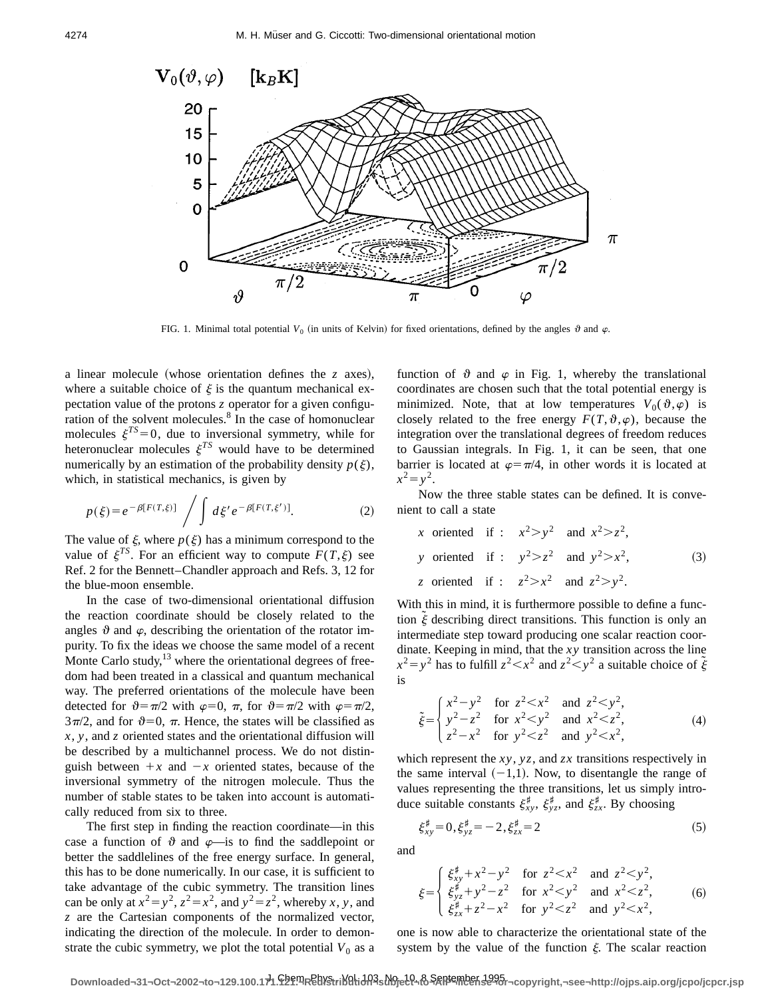

FIG. 1. Minimal total potential  $V_0$  (in units of Kelvin) for fixed orientations, defined by the angles  $\vartheta$  and  $\varphi$ .

a linear molecule (whose orientation defines the *z* axes), where a suitable choice of  $\xi$  is the quantum mechanical expectation value of the protons *z* operator for a given configuration of the solvent molecules. $\frac{8}{3}$  In the case of homonuclear molecules  $\xi^{TS}=0$ , due to inversional symmetry, while for heteronuclear molecules  $\xi^{TS}$  would have to be determined numerically by an estimation of the probability density  $p(\xi)$ , which, in statistical mechanics, is given by

$$
p(\xi) = e^{-\beta[F(T,\xi)]} \bigg/ \int d\xi' e^{-\beta[F(T,\xi')]}. \tag{2}
$$

The value of  $\xi$ , where  $p(\xi)$  has a minimum correspond to the value of  $\xi^{TS}$ . For an efficient way to compute  $F(T,\xi)$  see Ref. 2 for the Bennett–Chandler approach and Refs. 3, 12 for the blue-moon ensemble.

In the case of two-dimensional orientational diffusion the reaction coordinate should be closely related to the angles  $\vartheta$  and  $\varphi$ , describing the orientation of the rotator impurity. To fix the ideas we choose the same model of a recent Monte Carlo study, $^{13}$  where the orientational degrees of freedom had been treated in a classical and quantum mechanical way. The preferred orientations of the molecule have been detected for  $\vartheta = \pi/2$  with  $\varphi = 0$ ,  $\pi$ , for  $\vartheta = \pi/2$  with  $\varphi = \pi/2$ ,  $3\pi/2$ , and for  $\vartheta=0$ ,  $\pi$ . Hence, the states will be classified as *x*, *y*, and *z* oriented states and the orientational diffusion will be described by a multichannel process. We do not distinguish between  $+x$  and  $-x$  oriented states, because of the inversional symmetry of the nitrogen molecule. Thus the number of stable states to be taken into account is automatically reduced from six to three.

The first step in finding the reaction coordinate—in this case a function of  $\vartheta$  and  $\varphi$ —is to find the saddlepoint or better the saddlelines of the free energy surface. In general, this has to be done numerically. In our case, it is sufficient to take advantage of the cubic symmetry. The transition lines can be only at  $x^2 = y^2$ ,  $z^2 = x^2$ , and  $y^2 = z^2$ , whereby *x*, *y*, and *z* are the Cartesian components of the normalized vector, indicating the direction of the molecule. In order to demonstrate the cubic symmetry, we plot the total potential  $V_0$  as a function of  $\vartheta$  and  $\varphi$  in Fig. 1, whereby the translational coordinates are chosen such that the total potential energy is minimized. Note, that at low temperatures  $V_0(\vartheta,\varphi)$  is closely related to the free energy  $F(T, \vartheta, \varphi)$ , because the integration over the translational degrees of freedom reduces to Gaussian integrals. In Fig. 1, it can be seen, that one barrier is located at  $\varphi = \pi/4$ , in other words it is located at  $x^2 = y^2$ .

Now the three stable states can be defined. It is convenient to call a state

x oriented if : 
$$
x^2 > y^2
$$
 and  $x^2 > z^2$ ,  
\ny oriented if :  $y^2 > z^2$  and  $y^2 > x^2$ ,  
\nz oriented if :  $z^2 > x^2$  and  $z^2 > y^2$ . (3)

With this in mind, it is furthermore possible to define a function  $\tilde{\xi}$  describing direct transitions. This function is only an intermediate step toward producing one scalar reaction coordinate. Keeping in mind, that the *xy* transition across the line  $x^2 = y^2$  has to fulfill  $z^2 < x^2$  and  $z^2 < y^2$  a suitable choice of  $\tilde{\xi}$ is

$$
\tilde{\xi} = \begin{cases}\n x^2 - y^2 & \text{for } z^2 < x^2 \text{ and } z^2 < y^2, \\
y^2 - z^2 & \text{for } x^2 < y^2 \text{ and } x^2 < z^2, \\
z^2 - x^2 & \text{for } y^2 < z^2 \text{ and } y^2 < x^2,\n\end{cases}
$$
\n(4)

which represent the *xy*, *yz*, and *zx* transitions respectively in the same interval  $(-1,1)$ . Now, to disentangle the range of values representing the three transitions, let us simply introduce suitable constants  $\xi_{xy}^{\sharp}$ ,  $\xi_{yz}^{\sharp}$ , and  $\xi_{zx}^{\sharp}$ . By choosing

$$
\xi_{xy}^{\sharp} = 0, \xi_{yz}^{\sharp} = -2, \xi_{zx}^{\sharp} = 2 \tag{5}
$$

and

$$
\xi = \begin{cases} \xi_{xy}^{\sharp} + x^2 - y^2 & \text{for } z^2 < x^2 \text{ and } z^2 < y^2, \\ \xi_{yz}^{\sharp} + y^2 - z^2 & \text{for } x^2 < y^2 \text{ and } x^2 < z^2, \\ \xi_{zx}^{\sharp} + z^2 - x^2 & \text{for } y^2 < z^2 \text{ and } y^2 < x^2, \end{cases}
$$
 (6)

one is now able to characterize the orientational state of the system by the value of the function  $\xi$ . The scalar reaction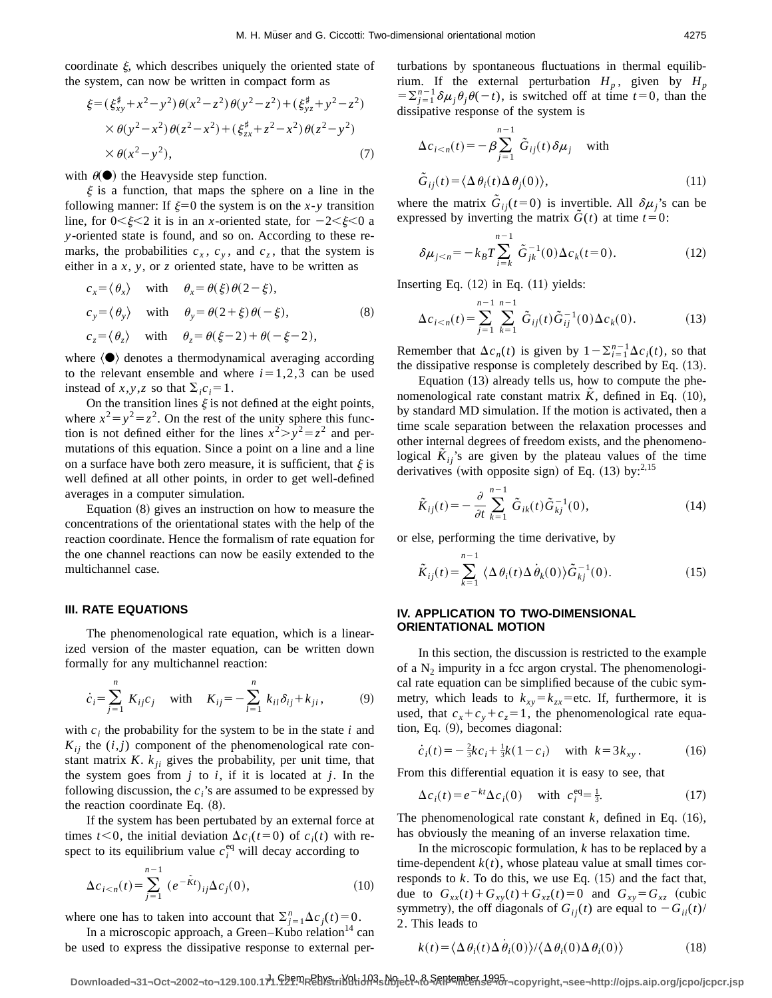coordinate  $\xi$ , which describes uniquely the oriented state of the system, can now be written in compact form as

$$
\xi = (\xi_{xy}^{\sharp} + x^2 - y^2) \theta(x^2 - z^2) \theta(y^2 - z^2) + (\xi_{yz}^{\sharp} + y^2 - z^2) \times \theta(y^2 - x^2) \theta(z^2 - x^2) + (\xi_{zx}^{\sharp} + z^2 - x^2) \theta(z^2 - y^2) \times \theta(x^2 - y^2),
$$
\n(7)

with  $\theta(\bullet)$  the Heavyside step function.

 $\xi$  is a function, that maps the sphere on a line in the following manner: If  $\xi=0$  the system is on the *x*-*y* transition line, for  $0<\xi<2$  it is in an *x*-oriented state, for  $-2<\xi<0$  a *y*-oriented state is found, and so on. According to these remarks, the probabilities  $c_x$ ,  $c_y$ , and  $c_z$ , that the system is either in a *x*, *y*, or *z* oriented state, have to be written as

$$
c_x = \langle \theta_x \rangle \quad \text{with} \quad \theta_x = \theta(\xi) \theta(2 - \xi),
$$
  
\n
$$
c_y = \langle \theta_y \rangle \quad \text{with} \quad \theta_y = \theta(2 + \xi) \theta(-\xi),
$$
  
\n
$$
c_z = \langle \theta_z \rangle \quad \text{with} \quad \theta_z = \theta(\xi - 2) + \theta(-\xi - 2),
$$
  
\n(8)

where  $\langle \bullet \rangle$  denotes a thermodynamical averaging according to the relevant ensemble and where  $i=1,2,3$  can be used instead of *x*, *y*, *z* so that  $\Sigma_i c_i = 1$ .

On the transition lines  $\xi$  is not defined at the eight points, where  $x^2 = y^2 = z^2$ . On the rest of the unity sphere this function is not defined either for the lines  $x^2 > y^2 = z^2$  and permutations of this equation. Since a point on a line and a line on a surface have both zero measure, it is sufficient, that  $\xi$  is well defined at all other points, in order to get well-defined averages in a computer simulation.

Equation  $(8)$  gives an instruction on how to measure the concentrations of the orientational states with the help of the reaction coordinate. Hence the formalism of rate equation for the one channel reactions can now be easily extended to the multichannel case.

#### **III. RATE EQUATIONS**

The phenomenological rate equation, which is a linearized version of the master equation, can be written down formally for any multichannel reaction:

$$
\dot{c}_i = \sum_{j=1}^n K_{ij} c_j \quad \text{with} \quad K_{ij} = -\sum_{l=1}^n k_{il} \delta_{ij} + k_{ji}, \tag{9}
$$

with  $c_i$  the probability for the system to be in the state  $i$  and  $K_{ii}$  the  $(i, j)$  component of the phenomenological rate constant matrix  $K$ .  $k_{ii}$  gives the probability, per unit time, that the system goes from  $j$  to  $i$ , if it is located at  $j$ . In the following discussion, the  $c_i$ 's are assumed to be expressed by the reaction coordinate Eq.  $(8)$ .

If the system has been pertubated by an external force at times  $t<0$ , the initial deviation  $\Delta c_i(t=0)$  of  $c_i(t)$  with respect to its equilibrium value  $c_i^{eq}$  will decay according to

$$
\Delta c_{i \le n}(t) = \sum_{j=1}^{n-1} (e^{-\tilde{K}t})_{ij} \Delta c_j(0),
$$
\n(10)

where one has to taken into account that  $\sum_{i=1}^{n} \Delta c_i(t) = 0$ .

In a microscopic approach, a Green–Kubo relation $14$  can be used to express the dissipative response to external perturbations by spontaneous fluctuations in thermal equilibrium. If the external perturbation  $H_p$ , given by  $H_p$  $=\sum_{j=1}^{n-1} \delta \mu_j \theta_j \theta(-t)$ , is switched off at time  $t=0$ , than the dissipative response of the system is

$$
\Delta c_{i < n}(t) = -\beta \sum_{j=1}^{n-1} \tilde{G}_{ij}(t) \delta \mu_j \quad \text{with}
$$
\n
$$
\tilde{G}_{ij}(t) = \langle \Delta \theta_i(t) \Delta \theta_j(0) \rangle,\tag{11}
$$

where the matrix  $G_{ij}(t=0)$  is invertible. All  $\delta \mu_j$ 's can be expressed by inverting the matrix  $G(t)$  at time  $t=0$ :

$$
\delta \mu_{j < n} = -k_B T \sum_{i=k}^{n-1} \tilde{G}_{jk}^{-1}(0) \Delta c_k(t=0). \tag{12}
$$

Inserting Eq.  $(12)$  in Eq.  $(11)$  yields:

$$
\Delta c_{i < n}(t) = \sum_{j=1}^{n-1} \sum_{k=1}^{n-1} \tilde{G}_{ij}(t) \tilde{G}_{ij}^{-1}(0) \Delta c_k(0). \tag{13}
$$

Remember that  $\Delta c_n(t)$  is given by  $1 - \sum_{i=1}^{n-1} \Delta c_i(t)$ , so that the dissipative response is completely described by Eq.  $(13)$ .

Equation  $(13)$  already tells us, how to compute the phenomenological rate constant matrix  $\bar{K}$ , defined in Eq.  $(10)$ , by standard MD simulation. If the motion is activated, then a time scale separation between the relaxation processes and other internal degrees of freedom exists, and the phenomenological  $K_{ij}$ 's are given by the plateau values of the time derivatives (with opposite sign) of Eq.  $(13)$  by:<sup>2,15</sup>

$$
\tilde{K}_{ij}(t) = -\frac{\partial}{\partial t} \sum_{k=1}^{n-1} \tilde{G}_{ik}(t) \tilde{G}_{kj}^{-1}(0),
$$
\n(14)

or else, performing the time derivative, by

$$
\tilde{K}_{ij}(t) = \sum_{k=1}^{n-1} \langle \Delta \theta_i(t) \Delta \dot{\theta}_k(0) \rangle \tilde{G}_{kj}^{-1}(0). \tag{15}
$$

## **IV. APPLICATION TO TWO-DIMENSIONAL ORIENTATIONAL MOTION**

In this section, the discussion is restricted to the example of a  $N_2$  impurity in a fcc argon crystal. The phenomenological rate equation can be simplified because of the cubic symmetry, which leads to  $k_{xy} = k_{zx}$ =etc. If, furthermore, it is used, that  $c_x + c_y + c_z = 1$ , the phenomenological rate equation, Eq.  $(9)$ , becomes diagonal:

$$
\dot{c}_i(t) = -\frac{2}{3}kc_i + \frac{1}{3}k(1-c_i) \quad \text{with } k = 3k_{xy}. \tag{16}
$$

From this differential equation it is easy to see, that

$$
\Delta c_i(t) = e^{-kt} \Delta c_i(0) \quad \text{with} \quad c_i^{\text{eq}} = \frac{1}{3}.\tag{17}
$$

The phenomenological rate constant  $k$ , defined in Eq.  $(16)$ , has obviously the meaning of an inverse relaxation time.

In the microscopic formulation, *k* has to be replaced by a time-dependent  $k(t)$ , whose plateau value at small times corresponds to  $k$ . To do this, we use Eq.  $(15)$  and the fact that, due to  $G_{xx}(t) + G_{xy}(t) + G_{xz}(t) = 0$  and  $G_{xy} = G_{xz}$  (cubic symmetry), the off diagonals of  $G_{ij}(t)$  are equal to  $-G_{ii}(t)$ / 2. This leads to

$$
k(t) = \langle \Delta \theta_i(t) \Delta \dot{\theta}_i(0) \rangle / \langle \Delta \theta_i(0) \Delta \theta_i(0) \rangle \tag{18}
$$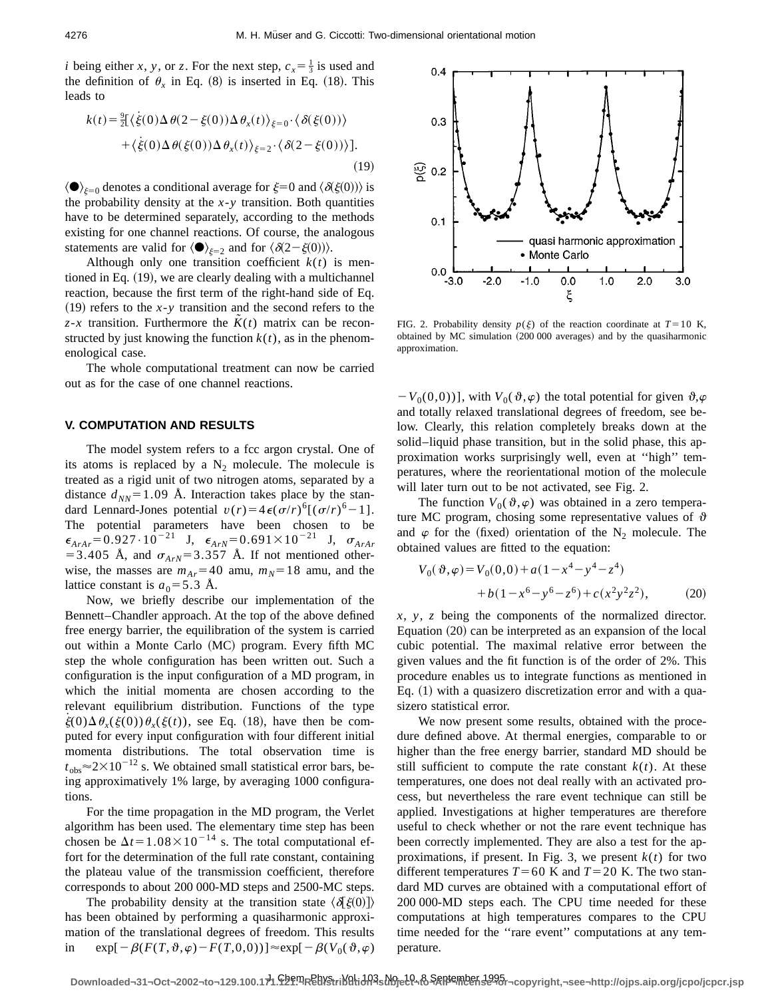*i* being either *x*, *y*, or *z*. For the next step,  $c_x = \frac{1}{3}$  is used and the definition of  $\theta_x$  in Eq. (8) is inserted in Eq. (18). This leads to

$$
k(t) = \frac{9}{2} [\langle \dot{\xi}(0) \Delta \theta(2 - \xi(0)) \Delta \theta_x(t) \rangle_{\xi=0} \cdot \langle \delta(\xi(0)) \rangle
$$
  
+ 
$$
\langle \dot{\xi}(0) \Delta \theta(\xi(0)) \Delta \theta_x(t) \rangle_{\xi=2} \cdot \langle \delta(2 - \xi(0)) \rangle ].
$$
  
(19)

 $\langle \bullet \rangle_{\xi=0}$  denotes a conditional average for  $\xi=0$  and  $\langle \delta \xi(0) \rangle$  is the probability density at the  $x-y$  transition. Both quantities have to be determined separately, according to the methods existing for one channel reactions. Of course, the analogous statements are valid for  $\langle \bullet \rangle_{\xi=2}$  and for  $\langle \delta(2-\xi(0)) \rangle$ .

Although only one transition coefficient  $k(t)$  is mentioned in Eq.  $(19)$ , we are clearly dealing with a multichannel reaction, because the first term of the right-hand side of Eq.  $(19)$  refers to the *x*-*y* transition and the second refers to the  $z-x$  transition. Furthermore the  $K(t)$  matrix can be reconstructed by just knowing the function  $k(t)$ , as in the phenomenological case.

The whole computational treatment can now be carried out as for the case of one channel reactions.

#### **V. COMPUTATION AND RESULTS**

The model system refers to a fcc argon crystal. One of its atoms is replaced by a  $N_2$  molecule. The molecule is treated as a rigid unit of two nitrogen atoms, separated by a distance  $d_{NN}$ =1.09 Å. Interaction takes place by the standard Lennard-Jones potential  $v(r) = 4\epsilon(\sigma/r)^{6}[(\sigma/r)^{6}-1]$ . The potential parameters have been chosen to be  $\epsilon_{ArAr}$ =0.927·10<sup>-21</sup> J,  $\epsilon_{ArN}$ =0.691×10<sup>-21</sup> J,  $\sigma_{ArAr}$ = 3.405 Å, and  $\sigma_{ArN}$ = 3.357 Å. If not mentioned otherwise, the masses are  $m_{Ar}$ =40 amu,  $m_N$ =18 amu, and the lattice constant is  $a_0 = 5.3$  Å.

Now, we briefly describe our implementation of the Bennett–Chandler approach. At the top of the above defined free energy barrier, the equilibration of the system is carried out within a Monte Carlo (MC) program. Every fifth MC step the whole configuration has been written out. Such a configuration is the input configuration of a MD program, in which the initial momenta are chosen according to the relevant equilibrium distribution. Functions of the type  $\dot{\xi}(0)\Delta\theta_x(\dot{\xi}(0))\theta_x(\xi(t))$ , see Eq. (18), have then be computed for every input configuration with four different initial momenta distributions. The total observation time is  $t_{obs} \approx 2 \times 10^{-12}$  s. We obtained small statistical error bars, being approximatively 1% large, by averaging 1000 configurations.

For the time propagation in the MD program, the Verlet algorithm has been used. The elementary time step has been chosen be  $\Delta t = 1.08 \times 10^{-14}$  s. The total computational effort for the determination of the full rate constant, containing the plateau value of the transmission coefficient, therefore corresponds to about 200 000-MD steps and 2500-MC steps.

The probability density at the transition state  $\langle \delta \xi(0) \rangle$ has been obtained by performing a quasiharmonic approximation of the translational degrees of freedom. This results in  $\exp[-\beta(F(T,\vartheta,\varphi)-F(T,0,0))] \approx \exp[-\beta(V_0(\vartheta,\varphi))$ 



FIG. 2. Probability density  $p(\xi)$  of the reaction coordinate at  $T=10$  K, obtained by MC simulation  $(200 000$  averages) and by the quasiharmonic approximation.

 $-V_0(0,0)$ ], with  $V_0(\vartheta,\varphi)$  the total potential for given  $\vartheta,\varphi$ and totally relaxed translational degrees of freedom, see below. Clearly, this relation completely breaks down at the solid–liquid phase transition, but in the solid phase, this approximation works surprisingly well, even at ''high'' temperatures, where the reorientational motion of the molecule will later turn out to be not activated, see Fig. 2.

The function  $V_0(\theta,\varphi)$  was obtained in a zero temperature MC program, chosing some representative values of  $\vartheta$ and  $\varphi$  for the (fixed) orientation of the N<sub>2</sub> molecule. The obtained values are fitted to the equation:

$$
V_0(\vartheta, \varphi) = V_0(0, 0) + a(1 - x^4 - y^4 - z^4)
$$
  
+ b(1 - x^6 - y^6 - z^6) + c(x^2y^2z^2), (20)

*x*, *y*, *z* being the components of the normalized director. Equation  $(20)$  can be interpreted as an expansion of the local cubic potential. The maximal relative error between the given values and the fit function is of the order of 2%. This procedure enables us to integrate functions as mentioned in Eq.  $(1)$  with a quasizero discretization error and with a quasizero statistical error.

We now present some results, obtained with the procedure defined above. At thermal energies, comparable to or higher than the free energy barrier, standard MD should be still sufficient to compute the rate constant  $k(t)$ . At these temperatures, one does not deal really with an activated process, but nevertheless the rare event technique can still be applied. Investigations at higher temperatures are therefore useful to check whether or not the rare event technique has been correctly implemented. They are also a test for the approximations, if present. In Fig. 3, we present  $k(t)$  for two different temperatures  $T=60$  K and  $T=20$  K. The two standard MD curves are obtained with a computational effort of 200 000-MD steps each. The CPU time needed for these computations at high temperatures compares to the CPU time needed for the ''rare event'' computations at any temperature.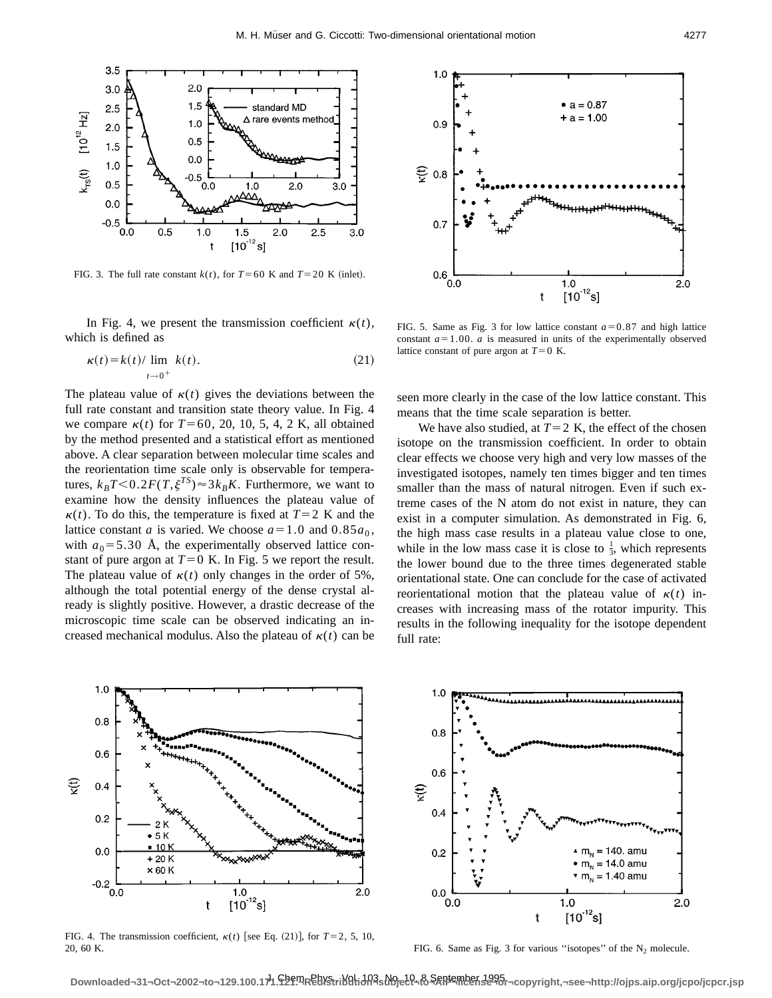

FIG. 3. The full rate constant  $k(t)$ , for  $T=60$  K and  $T=20$  K (inlet).

In Fig. 4, we present the transmission coefficient  $\kappa(t)$ , which is defined as

$$
\kappa(t) = k(t) / \lim_{t \to 0^+} k(t). \tag{21}
$$

The plateau value of  $\kappa(t)$  gives the deviations between the full rate constant and transition state theory value. In Fig. 4 we compare  $\kappa(t)$  for  $T=60, 20, 10, 5, 4, 2$  K, all obtained by the method presented and a statistical effort as mentioned above. A clear separation between molecular time scales and the reorientation time scale only is observable for temperatures,  $k_B T < 0.2 F(T, \xi^{TS}) \approx 3k_B K$ . Furthermore, we want to examine how the density influences the plateau value of  $k(t)$ . To do this, the temperature is fixed at  $T=2$  K and the lattice constant *a* is varied. We choose  $a=1.0$  and  $0.85a_0$ , with  $a_0 = 5.30$  Å, the experimentally observed lattice constant of pure argon at  $T=0$  K. In Fig. 5 we report the result. The plateau value of  $\kappa(t)$  only changes in the order of 5%, although the total potential energy of the dense crystal already is slightly positive. However, a drastic decrease of the microscopic time scale can be observed indicating an increased mechanical modulus. Also the plateau of  $\kappa(t)$  can be



FIG. 5. Same as Fig. 3 for low lattice constant  $a=0.87$  and high lattice constant  $a=1.00$ .  $a$  is measured in units of the experimentally observed lattice constant of pure argon at  $T=0$  K.

seen more clearly in the case of the low lattice constant. This means that the time scale separation is better.

We have also studied, at  $T=2$  K, the effect of the chosen isotope on the transmission coefficient. In order to obtain clear effects we choose very high and very low masses of the investigated isotopes, namely ten times bigger and ten times smaller than the mass of natural nitrogen. Even if such extreme cases of the N atom do not exist in nature, they can exist in a computer simulation. As demonstrated in Fig. 6, the high mass case results in a plateau value close to one, while in the low mass case it is close to  $\frac{1}{3}$ , which represents the lower bound due to the three times degenerated stable orientational state. One can conclude for the case of activated reorientational motion that the plateau value of  $\kappa(t)$  increases with increasing mass of the rotator impurity. This results in the following inequality for the isotope dependent full rate:



FIG. 4. The transmission coefficient,  $\kappa(t)$  [see Eq. (21)], for  $T=2, 5, 10$ , 20, 60 K.



FIG. 6. Same as Fig. 3 for various "isotopes" of the  $N_2$  molecule.

Downloaded¬31¬Oct¬2002¬to¬129.100.1对. PhyPAEBYStriNghidn<sup>3</sup>s Noject - & September 1995 - copyright,¬see¬http://ojps.aip.org/jcpo/jcpcr.jsp